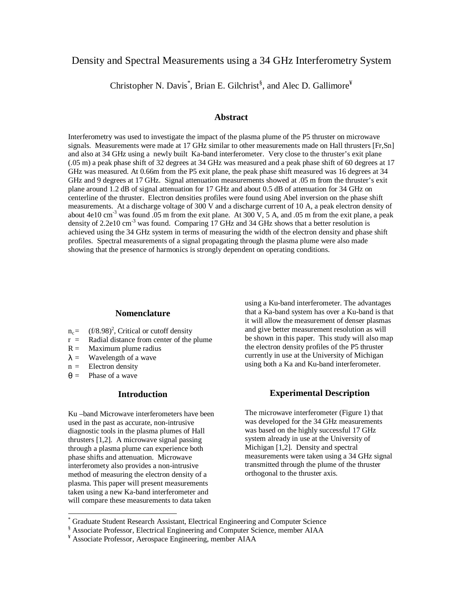# Density and Spectral Measurements using a 34 GHz Interferometry System

Christopher N. Davis<sup>\*</sup>, Brian E. Gilchrist<sup>§</sup>, and Alec D. Gallimore<sup>¥</sup>

# **Abstract**

Interferometry was used to investigate the impact of the plasma plume of the P5 thruster on microwave signals. Measurements were made at 17 GHz similar to other measurements made on Hall thrusters [Fr,Sn] and also at 34 GHz using a newly built Ka-band interferometer. Very close to the thruster's exit plane (.05 m) a peak phase shift of 32 degrees at 34 GHz was measured and a peak phase shift of 60 degrees at 17 GHz was measured. At 0.66m from the P5 exit plane, the peak phase shift measured was 16 degrees at 34 GHz and 9 degrees at 17 GHz. Signal attenuation measurements showed at .05 m from the thruster's exit plane around 1.2 dB of signal attenuation for 17 GHz and about 0.5 dB of attenuation for 34 GHz on centerline of the thruster. Electron densities profiles were found using Abel inversion on the phase shift measurements. At a discharge voltage of 300 V and a discharge current of 10 A, a peak electron density of about 4e10 cm<sup>-3</sup> was found .05 m from the exit plane. At 300 V, 5 A, and .05 m from the exit plane, a peak density of 2.2e10 cm<sup>-3</sup> was found. Comparing  $\overline{17}$  GHz and 34 GHz shows that a better resolution is achieved using the 34 GHz system in terms of measuring the width of the electron density and phase shift profiles. Spectral measurements of a signal propagating through the plasma plume were also made showing that the presence of harmonics is strongly dependent on operating conditions.

#### **Nomenclature**

- $n_c$  = (f/8.98)<sup>2</sup>, Critical or cutoff density
- $r =$  Radial distance from center of the plume
- $R =$  Maximum plume radius
- $\lambda$  = Wavelength of a wave
- $n =$  Electron density
- $\theta =$  Phase of a wave

 $\overline{a}$ 

## **Introduction**

Ku –band Microwave interferometers have been used in the past as accurate, non-intrusive diagnostic tools in the plasma plumes of Hall thrusters [1,2]. A microwave signal passing through a plasma plume can experience both phase shifts and attenuation. Microwave interferomety also provides a non-intrusive method of measuring the electron density of a plasma. This paper will present measurements taken using a new Ka-band interferometer and will compare these measurements to data taken

using a Ku-band interferometer. The advantages that a Ka-band system has over a Ku-band is that it will allow the measurement of denser plasmas and give better measurement resolution as will be shown in this paper. This study will also map the electron density profiles of the P5 thruster currently in use at the University of Michigan using both a Ka and Ku-band interferometer.

#### **Experimental Description**

The microwave interferometer (Figure 1) that was developed for the 34 GHz measurements was based on the highly successful 17 GHz system already in use at the University of Michigan [1,2]. Density and spectral measurements were taken using a 34 GHz signal transmitted through the plume of the thruster orthogonal to the thruster axis.

<sup>\*</sup> Graduate Student Research Assistant, Electrical Engineering and Computer Science

<sup>&</sup>lt;sup>§</sup> Associate Professor, Electrical Engineering and Computer Science, member AIAA

Associate Professor, Aerospace Engineering, member AIAA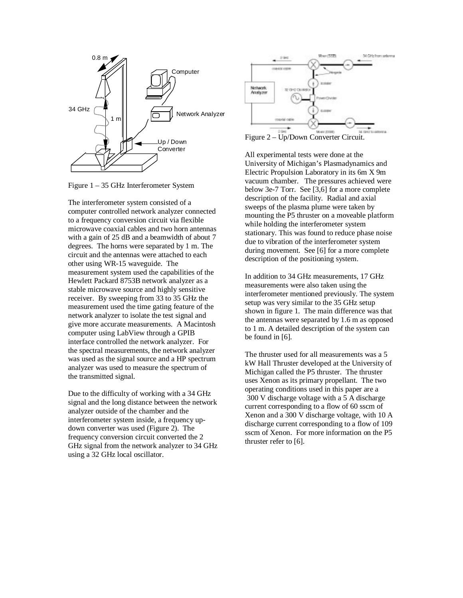

Figure 1 – 35 GHz Interferometer System

The interferometer system consisted of a computer controlled network analyzer connected to a frequency conversion circuit via flexible microwave coaxial cables and two horn antennas with a gain of 25 dB and a beamwidth of about 7 degrees. The horns were separated by 1 m. The circuit and the antennas were attached to each other using WR-15 waveguide. The measurement system used the capabilities of the Hewlett Packard 8753B network analyzer as a stable microwave source and highly sensitive receiver. By sweeping from 33 to 35 GHz the measurement used the time gating feature of the network analyzer to isolate the test signal and give more accurate measurements. A Macintosh computer using LabView through a GPIB interface controlled the network analyzer. For the spectral measurements, the network analyzer was used as the signal source and a HP spectrum analyzer was used to measure the spectrum of the transmitted signal.

Due to the difficulty of working with a 34 GHz signal and the long distance between the network analyzer outside of the chamber and the interferometer system inside, a frequency updown converter was used (Figure 2). The frequency conversion circuit converted the 2 GHz signal from the network analyzer to 34 GHz using a 32 GHz local oscillator.



Figure 2 – Up/Down Converter Circuit.

All experimental tests were done at the University of Michigan's Plasmadynamics and Electric Propulsion Laboratory in its 6m X 9m vacuum chamber. The pressures achieved were below 3e-7 Torr. See [3,6] for a more complete description of the facility. Radial and axial sweeps of the plasma plume were taken by mounting the P5 thruster on a moveable platform while holding the interferometer system stationary. This was found to reduce phase noise due to vibration of the interferometer system during movement. See [6] for a more complete description of the positioning system.

In addition to 34 GHz measurements, 17 GHz measurements were also taken using the interferometer mentioned previously. The system setup was very similar to the 35 GHz setup shown in figure 1. The main difference was that the antennas were separated by 1.6 m as opposed to 1 m. A detailed description of the system can be found in [6].

The thruster used for all measurements was a 5 kW Hall Thruster developed at the University of Michigan called the P5 thruster. The thruster uses Xenon as its primary propellant. The two operating conditions used in this paper are a 300 V discharge voltage with a 5 A discharge current corresponding to a flow of 60 sscm of Xenon and a 300 V discharge voltage, with 10 A discharge current corresponding to a flow of 109 sscm of Xenon. For more information on the P5 thruster refer to [6].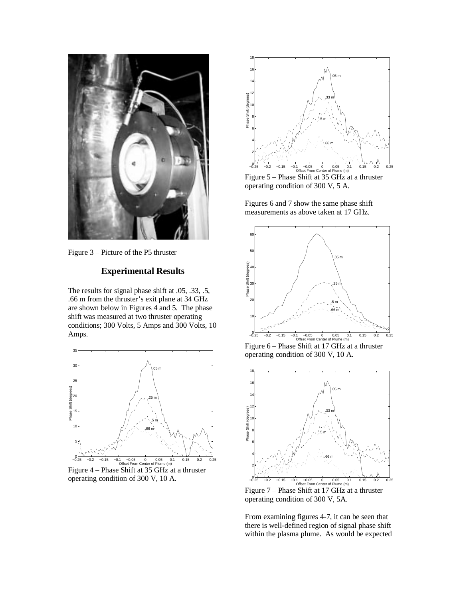

Figure 3 – Picture of the P5 thruster

# **Experimental Results**

The results for signal phase shift at .05, .33, .5, .66 m from the thruster's exit plane at 34 GHz are shown below in Figures 4 and 5. The phase shift was measured at two thruster operating conditions; 300 Volts, 5 Amps and 300 Volts, 10 Amps.



Figure 4 – Phase Shift at 35 GHz at a thruster operating condition of 300 V, 10 A.



Figure 5 – Phase Shift at 35 GHz at a thruster operating condition of 300 V, 5 A.

Figures 6 and 7 show the same phase shift measurements as above taken at 17 GHz.



operating condition of 300 V, 10 A.



Figure 7 – Phase Shift at 17 GHz at a thruster operating condition of 300 V, 5A.

From examining figures 4-7, it can be seen that there is well-defined region of signal phase shift within the plasma plume. As would be expected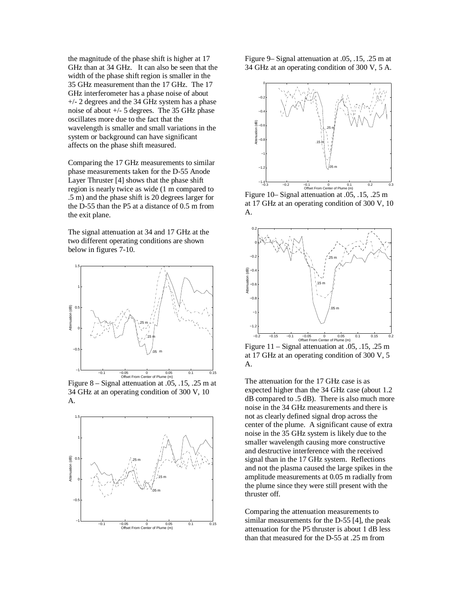the magnitude of the phase shift is higher at 17 GHz than at 34 GHz. It can also be seen that the width of the phase shift region is smaller in the 35 GHz measurement than the 17 GHz. The 17 GHz interferometer has a phase noise of about +/- 2 degrees and the 34 GHz system has a phase noise of about +/- 5 degrees. The 35 GHz phase oscillates more due to the fact that the wavelength is smaller and small variations in the system or background can have significant affects on the phase shift measured.

Comparing the 17 GHz measurements to similar phase measurements taken for the D-55 Anode Layer Thruster [4] shows that the phase shift region is nearly twice as wide (1 m compared to .5 m) and the phase shift is 20 degrees larger for the D-55 than the P5 at a distance of 0.5 m from the exit plane.

The signal attenuation at 34 and 17 GHz at the two different operating conditions are shown below in figures 7-10.



Figure 8 – Signal attenuation at .05, .15, .25 m at 34 GHz at an operating condition of 300 V, 10 A.



Figure 9– Signal attenuation at .05, .15, .25 m at 34 GHz at an operating condition of 300 V, 5 A.



Figure 10– Signal attenuation at .05, .15, .25 m at 17 GHz at an operating condition of 300 V, 10 A.



Figure  $11 -$  Signal attenuation at .05, .15, .25 m at 17 GHz at an operating condition of 300 V, 5 A.

The attenuation for the 17 GHz case is as expected higher than the 34 GHz case (about 1.2 dB compared to .5 dB). There is also much more noise in the 34 GHz measurements and there is not as clearly defined signal drop across the center of the plume. A significant cause of extra noise in the 35 GHz system is likely due to the smaller wavelength causing more constructive and destructive interference with the received signal than in the 17 GHz system. Reflections and not the plasma caused the large spikes in the amplitude measurements at 0.05 m radially from the plume since they were still present with the thruster off.

Comparing the attenuation measurements to similar measurements for the D-55 [4], the peak attenuation for the P5 thruster is about 1 dB less than that measured for the D-55 at .25 m from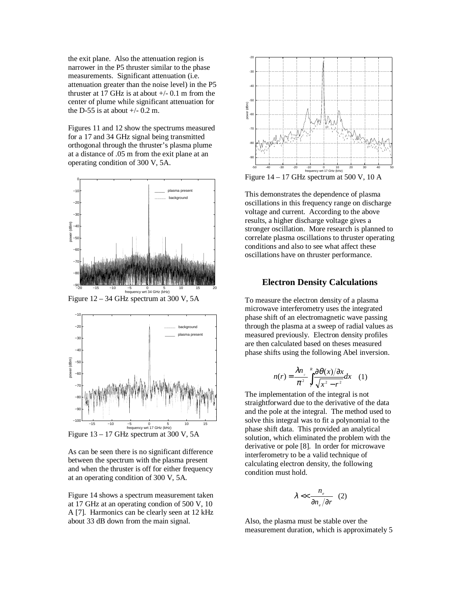the exit plane. Also the attenuation region is narrower in the P5 thruster similar to the phase measurements. Significant attenuation (i.e. attenuation greater than the noise level) in the P5 thruster at 17 GHz is at about  $+/- 0.1$  m from the center of plume while significant attenuation for the D-55 is at about  $+/- 0.2$  m.

Figures 11 and 12 show the spectrums measured for a 17 and 34 GHz signal being transmitted orthogonal through the thruster's plasma plume at a distance of .05 m from the exit plane at an operating condition of 300 V, 5A.



Figure 12 – 34 GHz spectrum at 300 V, 5A



Figure 13 – 17 GHz spectrum at 300 V, 5A



Figure 14 shows a spectrum measurement taken at 17 GHz at an operating condion of 500 V, 10 A [7]. Harmonics can be clearly seen at 12 kHz about 33 dB down from the main signal.



Figure  $14 - 17$  GHz spectrum at 500 V, 10 A

This demonstrates the dependence of plasma oscillations in this frequency range on discharge voltage and current. According to the above results, a higher discharge voltage gives a stronger oscillation. More research is planned to correlate plasma oscillations to thruster operating conditions and also to see what affect these oscillations have on thruster performance.

#### **Electron Density Calculations**

To measure the electron density of a plasma microwave interferometry uses the integrated phase shift of an electromagnetic wave passing through the plasma at a sweep of radial values as measured previously. Electron density profiles are then calculated based on theses measured phase shifts using the following Abel inversion.

$$
n(r) = \frac{\lambda n_c}{\pi^2} \int_{r}^{R} \frac{\partial \theta(x)}{\sqrt{x^2 - r^2}} dx \quad (1)
$$

The implementation of the integral is not straightforward due to the derivative of the data and the pole at the integral. The method used to solve this integral was to fit a polynomial to the phase shift data. This provided an analytical solution, which eliminated the problem with the derivative or pole [8]. In order for microwave interferometry to be a valid technique of calculating electron density, the following condition must hold.

$$
\lambda \ll \frac{n_e}{\partial n_e / \partial r} \quad (2)
$$

Also, the plasma must be stable over the measurement duration, which is approximately 5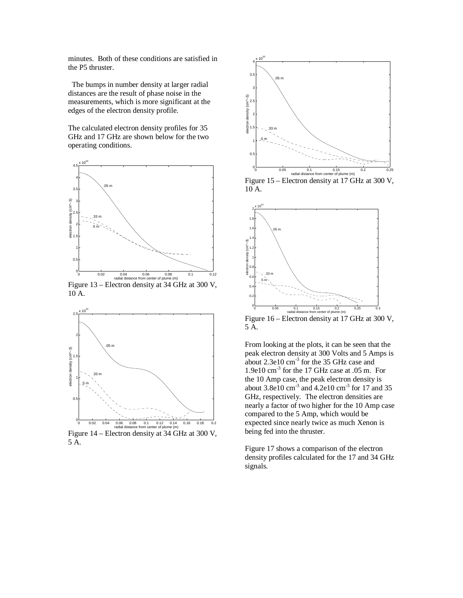minutes. Both of these conditions are satisfied in the P5 thruster.

 The bumps in number density at larger radial distances are the result of phase noise in the measurements, which is more significant at the edges of the electron density profile.

The calculated electron density profiles for 35 GHz and 17 GHz are shown below for the two operating conditions.



Figure 13 – Electron density at 34 GHz at 300 V, 10 A.



Figure 14 – Electron density at 34 GHz at 300 V, 5 A.



Figure 15 – Electron density at 17 GHz at 300 V, 10 A.



Figure 16 – Electron density at 17 GHz at 300 V, 5 A.

From looking at the plots, it can be seen that the peak electron density at 300 Volts and 5 Amps is about 2.3e10 cm-3 for the 35 GHz case and 1.9e10 cm-3 for the 17 GHz case at .05 m. For the 10 Amp case, the peak electron density is about  $3.8e10 \text{ cm}^3$  and  $4.2e10 \text{ cm}^3$  for 17 and 35 GHz, respectively. The electron densities are nearly a factor of two higher for the 10 Amp case compared to the 5 Amp, which would be expected since nearly twice as much Xenon is being fed into the thruster.

Figure 17 shows a comparison of the electron density profiles calculated for the 17 and 34 GHz signals.